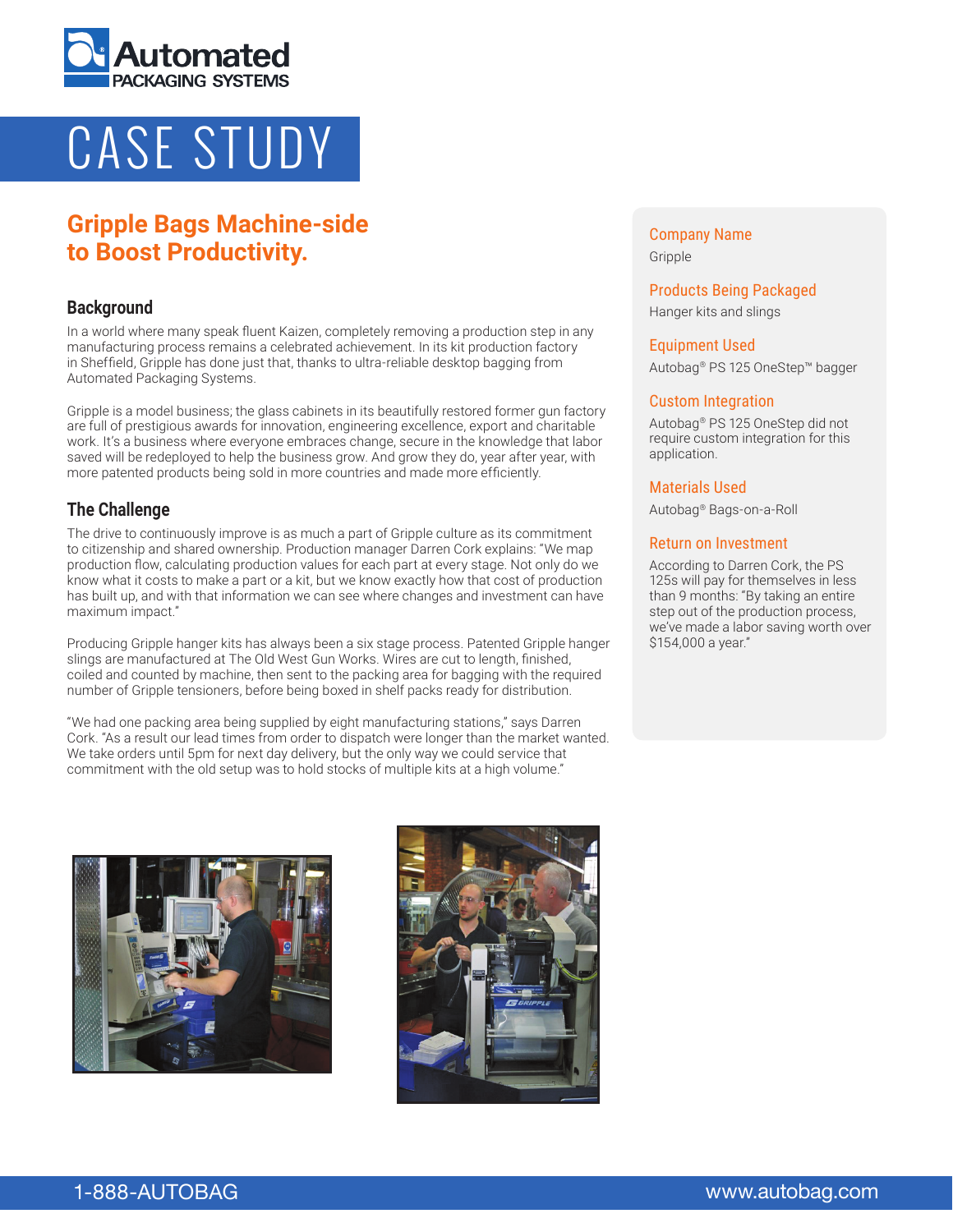

# CASE STUDY

# **Gripple Bags Machine-side to Boost Productivity.**

## **Background**

In a world where many speak fluent Kaizen, completely removing a production step in any manufacturing process remains a celebrated achievement. In its kit production factory in Sheffield, Gripple has done just that, thanks to ultra-reliable desktop bagging from Automated Packaging Systems.

Gripple is a model business; the glass cabinets in its beautifully restored former gun factory are full of prestigious awards for innovation, engineering excellence, export and charitable work. It's a business where everyone embraces change, secure in the knowledge that labor saved will be redeployed to help the business grow. And grow they do, year after year, with more patented products being sold in more countries and made more efficiently.

# **The Challenge**

The drive to continuously improve is as much a part of Gripple culture as its commitment to citizenship and shared ownership. Production manager Darren Cork explains: "We map production flow, calculating production values for each part at every stage. Not only do we know what it costs to make a part or a kit, but we know exactly how that cost of production has built up, and with that information we can see where changes and investment can have maximum impact."

Producing Gripple hanger kits has always been a six stage process. Patented Gripple hanger slings are manufactured at The Old West Gun Works. Wires are cut to length, finished, coiled and counted by machine, then sent to the packing area for bagging with the required number of Gripple tensioners, before being boxed in shelf packs ready for distribution.

"We had one packing area being supplied by eight manufacturing stations," says Darren Cork. "As a result our lead times from order to dispatch were longer than the market wanted. We take orders until 5pm for next day delivery, but the only way we could service that commitment with the old setup was to hold stocks of multiple kits at a high volume."

## Company Name Gripple

# Products Being Packaged

Hanger kits and slings

#### Equipment Used

Autobag® PS 125 OneStep™ bagger

#### Custom Integration

Autobag® PS 125 OneStep did not require custom integration for this application.

#### Materials Used

Autobag® Bags-on-a-Roll

#### Return on Investment

According to Darren Cork, the PS 125s will pay for themselves in less than 9 months: "By taking an entire step out of the production process, we've made a labor saving worth over \$154,000 a year."